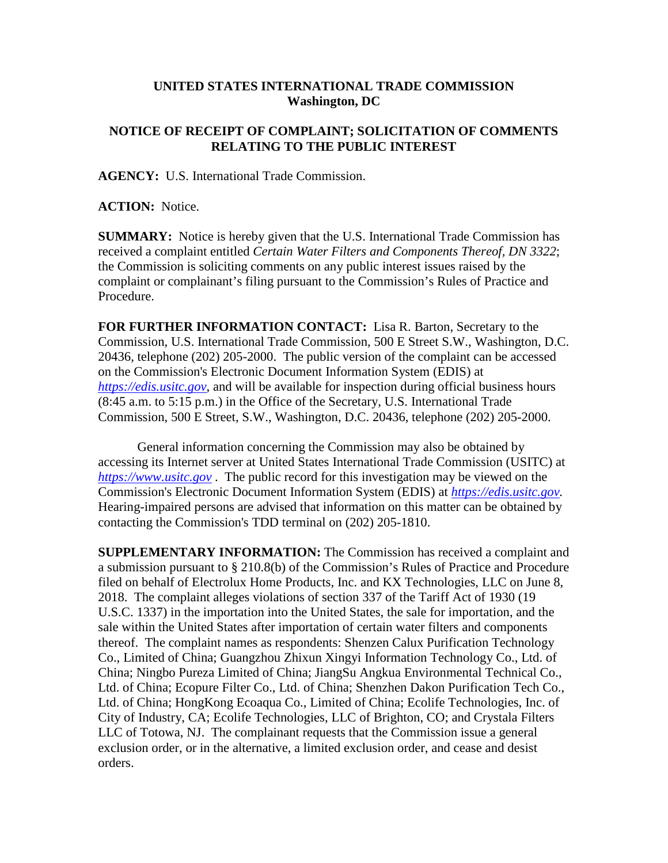## **UNITED STATES INTERNATIONAL TRADE COMMISSION Washington, DC**

## **NOTICE OF RECEIPT OF COMPLAINT; SOLICITATION OF COMMENTS RELATING TO THE PUBLIC INTEREST**

**AGENCY:** U.S. International Trade Commission.

**ACTION:** Notice.

**SUMMARY:** Notice is hereby given that the U.S. International Trade Commission has received a complaint entitled *Certain Water Filters and Components Thereof, DN 3322*; the Commission is soliciting comments on any public interest issues raised by the complaint or complainant's filing pursuant to the Commission's Rules of Practice and Procedure.

**FOR FURTHER INFORMATION CONTACT:** Lisa R. Barton, Secretary to the Commission, U.S. International Trade Commission, 500 E Street S.W., Washington, D.C. 20436, telephone (202) 205-2000. The public version of the complaint can be accessed on the Commission's Electronic Document Information System (EDIS) at *[https://edis.usitc.gov](https://edis.usitc.gov/)*, and will be available for inspection during official business hours (8:45 a.m. to 5:15 p.m.) in the Office of the Secretary, U.S. International Trade Commission, 500 E Street, S.W., Washington, D.C. 20436, telephone (202) 205-2000.

General information concerning the Commission may also be obtained by accessing its Internet server at United States International Trade Commission (USITC) at *[https://www.usitc.gov](https://www.usitc.gov/)* . The public record for this investigation may be viewed on the Commission's Electronic Document Information System (EDIS) at *[https://edis.usitc.gov.](https://edis.usitc.gov/)* Hearing-impaired persons are advised that information on this matter can be obtained by contacting the Commission's TDD terminal on (202) 205-1810.

**SUPPLEMENTARY INFORMATION:** The Commission has received a complaint and a submission pursuant to § 210.8(b) of the Commission's Rules of Practice and Procedure filed on behalf of Electrolux Home Products, Inc. and KX Technologies, LLC on June 8, 2018. The complaint alleges violations of section 337 of the Tariff Act of 1930 (19 U.S.C. 1337) in the importation into the United States, the sale for importation, and the sale within the United States after importation of certain water filters and components thereof. The complaint names as respondents: Shenzen Calux Purification Technology Co., Limited of China; Guangzhou Zhixun Xingyi Information Technology Co., Ltd. of China; Ningbo Pureza Limited of China; JiangSu Angkua Environmental Technical Co., Ltd. of China; Ecopure Filter Co., Ltd. of China; Shenzhen Dakon Purification Tech Co., Ltd. of China; HongKong Ecoaqua Co., Limited of China; Ecolife Technologies, Inc. of City of Industry, CA; Ecolife Technologies, LLC of Brighton, CO; and Crystala Filters LLC of Totowa, NJ. The complainant requests that the Commission issue a general exclusion order, or in the alternative, a limited exclusion order, and cease and desist orders.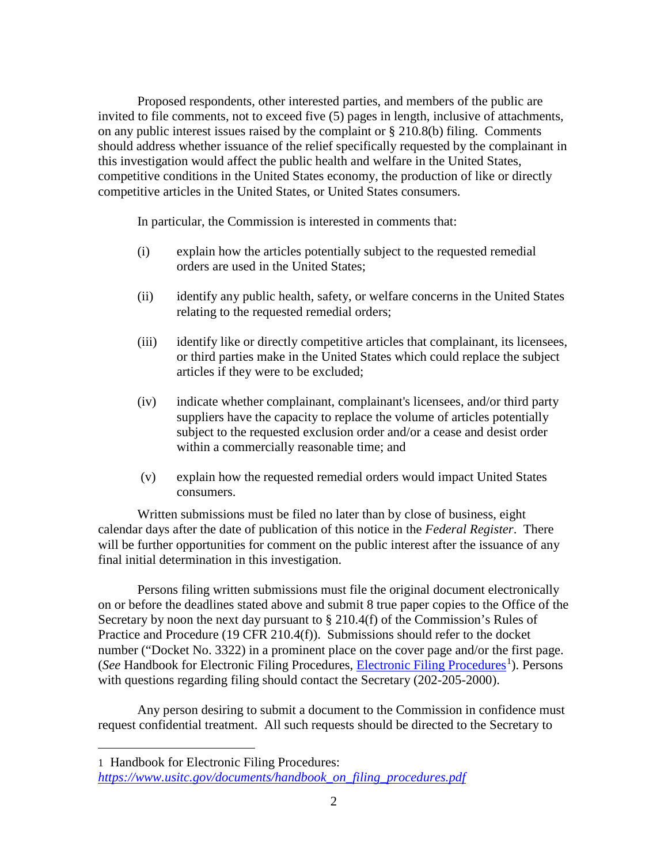Proposed respondents, other interested parties, and members of the public are invited to file comments, not to exceed five (5) pages in length, inclusive of attachments, on any public interest issues raised by the complaint or § 210.8(b) filing. Comments should address whether issuance of the relief specifically requested by the complainant in this investigation would affect the public health and welfare in the United States, competitive conditions in the United States economy, the production of like or directly competitive articles in the United States, or United States consumers.

In particular, the Commission is interested in comments that:

- (i) explain how the articles potentially subject to the requested remedial orders are used in the United States;
- (ii) identify any public health, safety, or welfare concerns in the United States relating to the requested remedial orders;
- (iii) identify like or directly competitive articles that complainant, its licensees, or third parties make in the United States which could replace the subject articles if they were to be excluded;
- (iv) indicate whether complainant, complainant's licensees, and/or third party suppliers have the capacity to replace the volume of articles potentially subject to the requested exclusion order and/or a cease and desist order within a commercially reasonable time; and
- (v) explain how the requested remedial orders would impact United States consumers.

Written submissions must be filed no later than by close of business, eight calendar days after the date of publication of this notice in the *Federal Register*. There will be further opportunities for comment on the public interest after the issuance of any final initial determination in this investigation.

Persons filing written submissions must file the original document electronically on or before the deadlines stated above and submit 8 true paper copies to the Office of the Secretary by noon the next day pursuant to  $\S 210.4(f)$  of the Commission's Rules of Practice and Procedure (19 CFR 210.4(f)). Submissions should refer to the docket number ("Docket No. 3322) in a prominent place on the cover page and/or the first page. (See Handbook for [Electronic Filing Procedures](https://www.usitc.gov/documents/handbook_on_filing_procedures.pdf), *Electronic Filing Procedures*<sup>[1](#page-1-0)</sup>). Persons with questions regarding filing should contact the Secretary (202-205-2000).

Any person desiring to submit a document to the Commission in confidence must request confidential treatment. All such requests should be directed to the Secretary to

 $\overline{a}$ 

<span id="page-1-0"></span><sup>1</sup> Handbook for Electronic Filing Procedures:

*[https://www.usitc.gov/documents/handbook\\_on\\_filing\\_procedures.pdf](https://www.usitc.gov/documents/handbook_on_filing_procedures.pdf)*